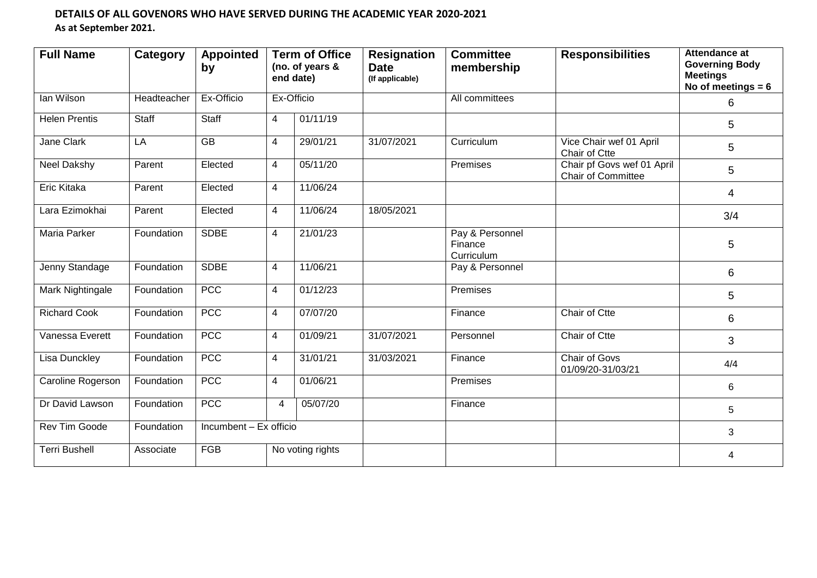## **DETAILS OF ALL GOVENORS WHO HAVE SERVED DURING THE ACADEMIC YEAR 2020-2021 As at September 2021.**

| <b>Full Name</b>     | <b>Category</b> | <b>Appointed</b><br>by |   | <b>Term of Office</b><br>(no. of years &<br>end date) | <b>Resignation</b><br><b>Date</b><br>(If applicable) | <b>Committee</b><br>membership           | <b>Responsibilities</b>                                 | Attendance at<br><b>Governing Body</b><br><b>Meetings</b><br>No of meetings $= 6$ |
|----------------------|-----------------|------------------------|---|-------------------------------------------------------|------------------------------------------------------|------------------------------------------|---------------------------------------------------------|-----------------------------------------------------------------------------------|
| lan Wilson           | Headteacher     | Ex-Officio             |   | Ex-Officio                                            |                                                      | All committees                           |                                                         | 6                                                                                 |
| <b>Helen Prentis</b> | Staff           | Staff                  | 4 | 01/11/19                                              |                                                      |                                          |                                                         | 5                                                                                 |
| Jane Clark           | LA              | $\overline{GB}$        | 4 | 29/01/21                                              | 31/07/2021                                           | Curriculum                               | Vice Chair wef 01 April<br>Chair of Ctte                | 5                                                                                 |
| <b>Neel Dakshy</b>   | Parent          | Elected                | 4 | 05/11/20                                              |                                                      | Premises                                 | Chair pf Govs wef 01 April<br><b>Chair of Committee</b> | 5                                                                                 |
| Eric Kitaka          | Parent          | Elected                | 4 | 11/06/24                                              |                                                      |                                          |                                                         | 4                                                                                 |
| Lara Ezimokhai       | Parent          | Elected                | 4 | 11/06/24                                              | 18/05/2021                                           |                                          |                                                         | 3/4                                                                               |
| Maria Parker         | Foundation      | <b>SDBE</b>            | 4 | 21/01/23                                              |                                                      | Pay & Personnel<br>Finance<br>Curriculum |                                                         | 5                                                                                 |
| Jenny Standage       | Foundation      | <b>SDBE</b>            | 4 | 11/06/21                                              |                                                      | Pay & Personnel                          |                                                         | 6                                                                                 |
| Mark Nightingale     | Foundation      | <b>PCC</b>             | 4 | 01/12/23                                              |                                                      | Premises                                 |                                                         | 5                                                                                 |
| <b>Richard Cook</b>  | Foundation      | <b>PCC</b>             | 4 | 07/07/20                                              |                                                      | Finance                                  | Chair of Ctte                                           | 6                                                                                 |
| Vanessa Everett      | Foundation      | <b>PCC</b>             | 4 | 01/09/21                                              | 31/07/2021                                           | Personnel                                | Chair of Ctte                                           | 3                                                                                 |
| <b>Lisa Dunckley</b> | Foundation      | <b>PCC</b>             | 4 | 31/01/21                                              | 31/03/2021                                           | Finance                                  | <b>Chair of Govs</b><br>01/09/20-31/03/21               | 4/4                                                                               |
| Caroline Rogerson    | Foundation      | <b>PCC</b>             | 4 | 01/06/21                                              |                                                      | Premises                                 |                                                         | 6                                                                                 |
| Dr David Lawson      | Foundation      | <b>PCC</b>             | 4 | 05/07/20                                              |                                                      | Finance                                  |                                                         | 5                                                                                 |
| Rev Tim Goode        | Foundation      | Incumbent - Ex officio |   |                                                       |                                                      |                                          | 3                                                       |                                                                                   |
| <b>Terri Bushell</b> | Associate       | <b>FGB</b>             |   | No voting rights                                      |                                                      |                                          |                                                         | 4                                                                                 |